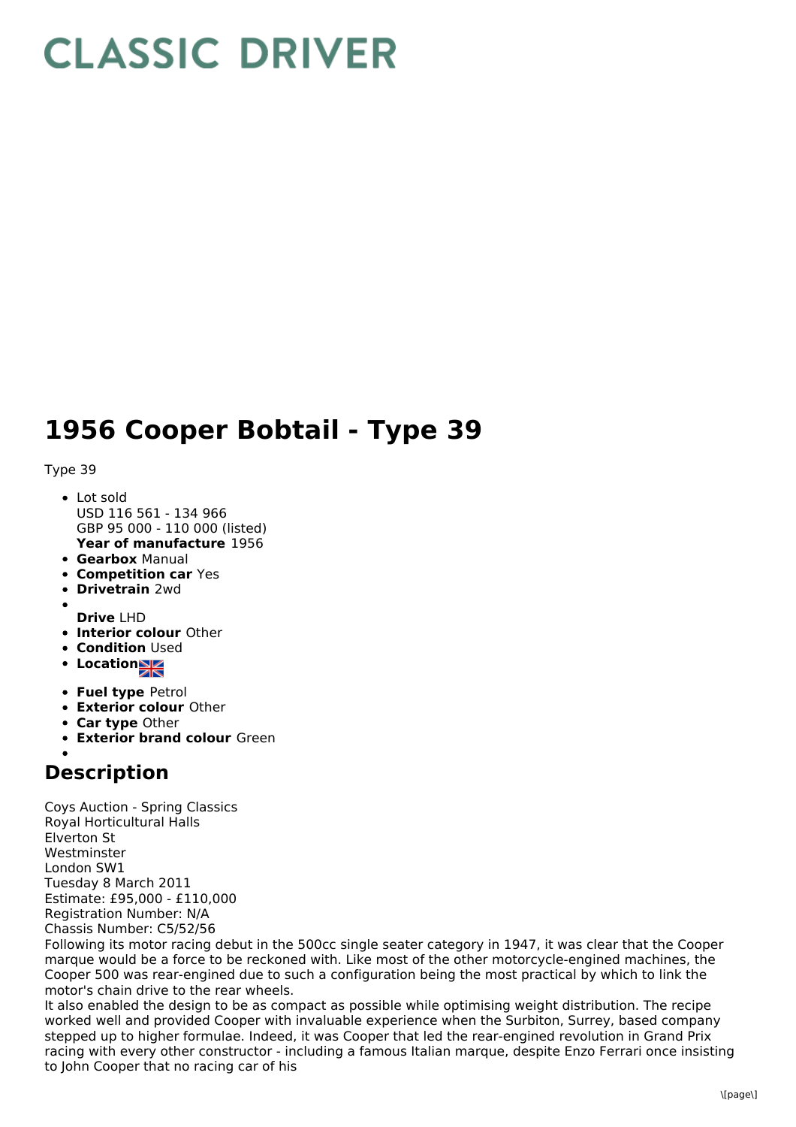## **CLASSIC DRIVER**

## **1956 Cooper Bobtail - Type 39**

Type 39

- **Year of manufacture** 1956 • Lot sold USD 116 561 - 134 966 GBP 95 000 - 110 000 (listed)
- **Gearbox** Manual
- **Competition car** Yes
- **Drivetrain** 2wd
- **Drive** LHD
- **Interior colour** Other
- **Condition Used**
- **•** Location
- **Fuel type** Petrol
- **Exterior colour** Other
- **Car type** Other
- **Exterior brand colour** Green

## **Description**

Coys Auction - Spring Classics Royal Horticultural Halls Elverton St Westminster London SW1 Tuesday 8 March 2011 Estimate: £95,000 - £110,000 Registration Number: N/A Chassis Number: C5/52/56

Following its motor racing debut in the 500cc single seater category in 1947, it was clear that the Cooper marque would be a force to be reckoned with. Like most of the other motorcycle-engined machines, the Cooper 500 was rear-engined due to such a configuration being the most practical by which to link the motor's chain drive to the rear wheels.

It also enabled the design to be as compact as possible while optimising weight distribution. The recipe worked well and provided Cooper with invaluable experience when the Surbiton, Surrey, based company stepped up to higher formulae. Indeed, it was Cooper that led the rear-engined revolution in Grand Prix racing with every other constructor - including a famous Italian marque, despite Enzo Ferrari once insisting to John Cooper that no racing car of his